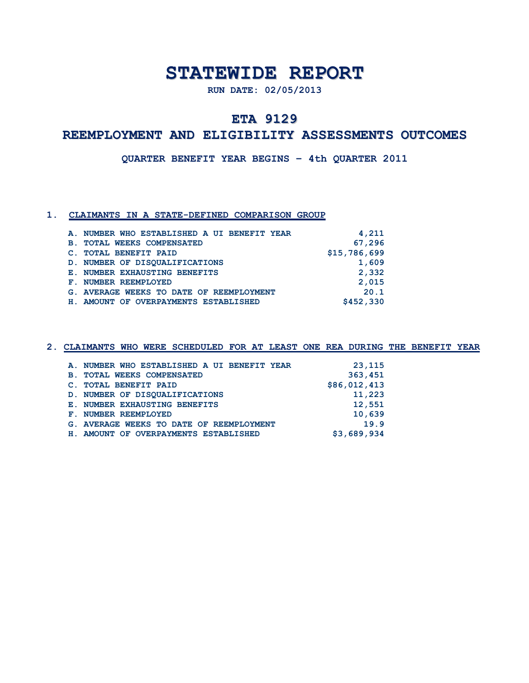## **STATEWIDE REPORT**

**RUN DATE: 02/05/2013**

## **ETA 9129**

## **REEMPLOYMENT AND ELIGIBILITY ASSESSMENTS OUTCOMES**

**QUARTER BENEFIT YEAR BEGINS – 4th QUARTER 2011**

### **1. CLAIMANTS IN A STATE-DEFINED COMPARISON GROUP**

|                | A. NUMBER WHO ESTABLISHED A UI BENEFIT YEAR | 4,211        |
|----------------|---------------------------------------------|--------------|
| $\mathbf{B}$ . | <b>TOTAL WEEKS COMPENSATED</b>              | 67,296       |
| $\mathbf{C}$ . | <b>TOTAL BENEFIT PAID</b>                   | \$15,786,699 |
|                | D. NUMBER OF DISOUALIFICATIONS              | 1,609        |
|                | E. NUMBER EXHAUSTING BENEFITS               | 2,332        |
|                | F. NUMBER REEMPLOYED                        | 2,015        |
|                | G. AVERAGE WEEKS TO DATE OF REEMPLOYMENT    | 20.1         |
|                | H. AMOUNT OF OVERPAYMENTS ESTABLISHED       | \$452,330    |

| A. NUMBER WHO ESTABLISHED A UI BENEFIT YEAR | 23,115       |
|---------------------------------------------|--------------|
| <b>B. TOTAL WEEKS COMPENSATED</b>           | 363,451      |
| C. TOTAL BENEFIT PAID                       | \$86,012,413 |
| D. NUMBER OF DISOUALIFICATIONS              | 11,223       |
| E. NUMBER EXHAUSTING BENEFITS               | 12,551       |
| F. NUMBER REEMPLOYED                        | 10,639       |
| G. AVERAGE WEEKS TO DATE OF REEMPLOYMENT    | 19.9         |
| H. AMOUNT OF OVERPAYMENTS ESTABLISHED       | \$3,689,934  |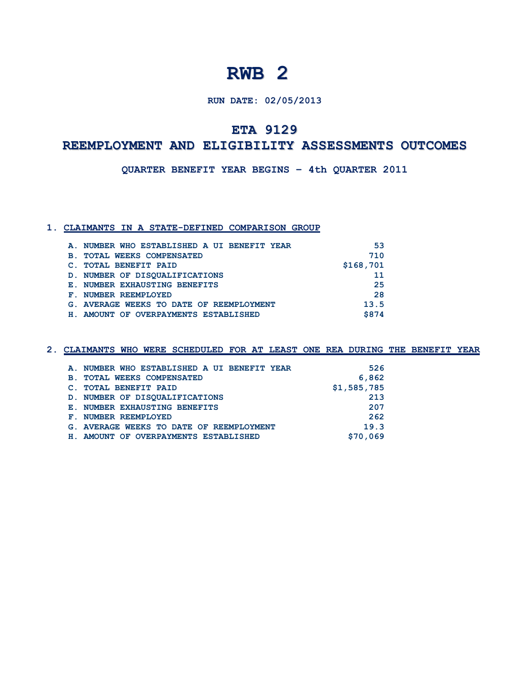### **RUN DATE: 02/05/2013**

## **ETA 9129**

## **REEMPLOYMENT AND ELIGIBILITY ASSESSMENTS OUTCOMES**

**QUARTER BENEFIT YEAR BEGINS – 4th QUARTER 2011**

### **1. CLAIMANTS IN A STATE-DEFINED COMPARISON GROUP**

| A. NUMBER WHO ESTABLISHED A UI BENEFIT YEAR  | 53        |
|----------------------------------------------|-----------|
| <b>TOTAL WEEKS COMPENSATED</b><br><b>B</b> . | 710       |
| <b>TOTAL BENEFIT PAID</b>                    | \$168,701 |
| D. NUMBER OF DISOUALIFICATIONS               | 11        |
| E. NUMBER EXHAUSTING BENEFITS                | 25        |
| NUMBER REEMPLOYED<br>${\bf F}$ .             | 28        |
| G. AVERAGE WEEKS TO DATE OF REEMPLOYMENT     | 13.5      |
| H. AMOUNT OF OVERPAYMENTS ESTABLISHED        | \$874     |

| CLAIMANTS WHO WERE SCHEDULED FOR AT LEAST ONE REA DURING THE BENEFIT YEAR |             |  |
|---------------------------------------------------------------------------|-------------|--|
|                                                                           |             |  |
| A. NUMBER WHO ESTABLISHED A UI BENEFIT YEAR                               | 526         |  |
| <b>TOTAL WEEKS COMPENSATED</b><br><b>B</b> .                              | 6,862       |  |
| <b>TOTAL BENEFIT PAID</b>                                                 | \$1,585,785 |  |
| D. NUMBER OF DISOUALIFICATIONS                                            | 213         |  |
| E. NUMBER EXHAUSTING BENEFITS                                             | 207         |  |
| NUMBER REEMPLOYED                                                         | 262         |  |
| G. AVERAGE WEEKS TO DATE OF REEMPLOYMENT                                  | 19.3        |  |

 **H. AMOUNT OF OVERPAYMENTS ESTABLISHED \$70,069**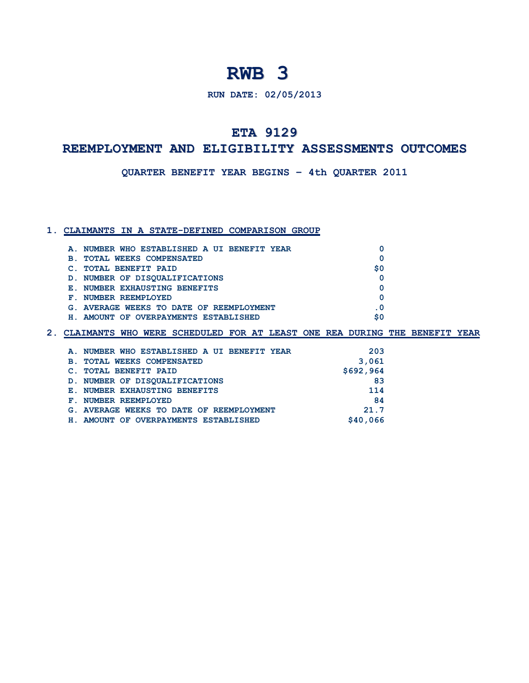**RUN DATE: 02/05/2013**

## **ETA 9129**

### **D A REEMPLOYMENT AND ELIGIBILITY ASSESSMENTS OUTCOMES**

**E QUARTER BENEFIT YEAR BEGINS – 4th QUARTER 2011**

#### **1. CLAIMANTS IN A STATE-DEFINED COMPARISON GROUP**

| A. NUMBER WHO ESTABLISHED A UI BENEFIT YEAR  |    |
|----------------------------------------------|----|
| <b>TOTAL WEEKS COMPENSATED</b><br><b>B</b> . |    |
| <b>TOTAL BENEFIT PAID</b>                    | S0 |
| D. NUMBER OF DISOUALIFICATIONS               |    |
| E. NUMBER EXHAUSTING BENEFITS                |    |
| NUMBER REEMPLOYED<br>${\bf F}$ .             |    |
| G. AVERAGE WEEKS TO DATE OF REEMPLOYMENT     |    |
| AMOUNT OF OVERPAYMENTS ESTABLISHED           | S0 |

|                | A. NUMBER WHO ESTABLISHED A UI BENEFIT YEAR | 203       |
|----------------|---------------------------------------------|-----------|
| $\mathbf{B}$ . | <b>TOTAL WEEKS COMPENSATED</b>              | 3,061     |
|                | <b>TOTAL BENEFIT PAID</b>                   | \$692,964 |
|                | D. NUMBER OF DISOUALIFICATIONS              | 83        |
|                | E. NUMBER EXHAUSTING BENEFITS               | 114       |
| ${\bf F}$ .    | NUMBER REEMPLOYED                           | 84        |
|                | G. AVERAGE WEEKS TO DATE OF REEMPLOYMENT    | 21.7      |
|                | H. AMOUNT OF OVERPAYMENTS ESTABLISHED       | \$40,066  |
|                |                                             |           |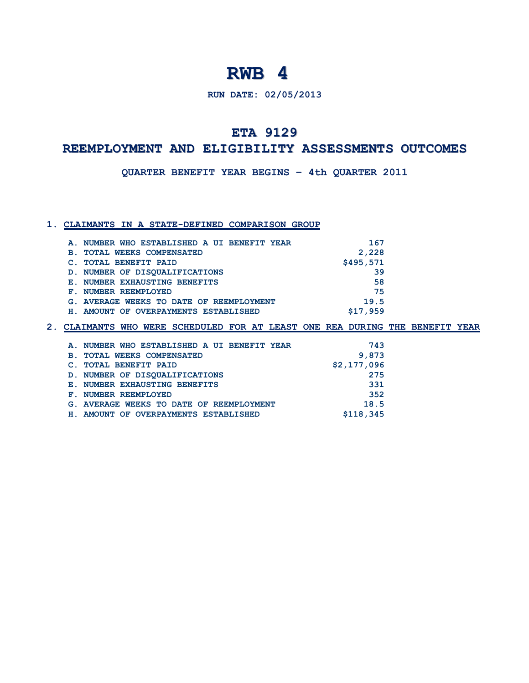**RUN DATE: 02/05/2013**

## **ETA 9129**

### **D A REEMPLOYMENT AND ELIGIBILITY ASSESSMENTS OUTCOMES**

**E QUARTER BENEFIT YEAR BEGINS – 4th QUARTER 2011**

### **1. CLAIMANTS IN A STATE-DEFINED COMPARISON GROUP**

| F. | A. NUMBER WHO ESTABLISHED A UI BENEFIT YEAR<br><b>B. TOTAL WEEKS COMPENSATED</b><br>C. TOTAL BENEFIT PAID<br>D. NUMBER OF DISOUALIFICATIONS<br>E. NUMBER EXHAUSTING BENEFITS<br>NUMBER REEMPLOYED<br>G. AVERAGE WEEKS TO DATE OF REEMPLOYMENT | 167<br>2,228<br>\$495,571<br>39<br>58<br>75<br>19.5 |
|----|-----------------------------------------------------------------------------------------------------------------------------------------------------------------------------------------------------------------------------------------------|-----------------------------------------------------|
|    | H. AMOUNT OF OVERPAYMENTS ESTABLISHED                                                                                                                                                                                                         | \$17.959                                            |
|    |                                                                                                                                                                                                                                               |                                                     |

| A. NUMBER WHO ESTABLISHED A UI BENEFIT YEAR | 743         |
|---------------------------------------------|-------------|
| <b>B. TOTAL WEEKS COMPENSATED</b>           | 9,873       |
| C. TOTAL BENEFIT PAID                       | \$2,177,096 |
| D. NUMBER OF DISOUALIFICATIONS              | 275         |
| E. NUMBER EXHAUSTING BENEFITS               | 331         |
| F. NUMBER REEMPLOYED                        | 352         |
| G. AVERAGE WEEKS TO DATE OF REEMPLOYMENT    | 18.5        |
| H. AMOUNT OF OVERPAYMENTS ESTABLISHED       | \$118,345   |
|                                             |             |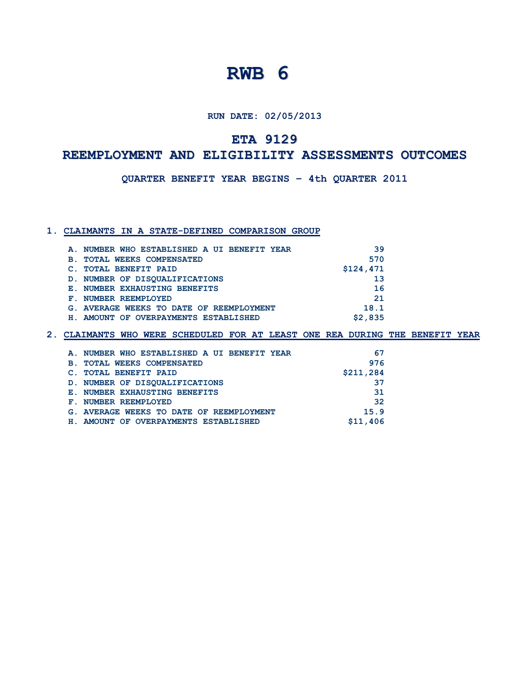**RUN DATE: 02/05/2013**

## **ETA 9129**

## **A REEMPLOYMENT AND ELIGIBILITY ASSESSMENTS OUTCOMES**

**E : QUARTER BENEFIT YEAR BEGINS – 4th QUARTER 2011**

#### **1. CLAIMANTS IN A STATE-DEFINED COMPARISON GROUP**

|                | A. NUMBER WHO ESTABLISHED A UI BENEFIT YEAR | 39        |
|----------------|---------------------------------------------|-----------|
| $\mathbf{B}$ . | <b>TOTAL WEEKS COMPENSATED</b>              | 570       |
|                | <b>TOTAL BENEFIT PAID</b>                   | \$124,471 |
|                | D. NUMBER OF DISOUALIFICATIONS              | 13        |
|                | E. NUMBER EXHAUSTING BENEFITS               | 16        |
| F.             | NUMBER REEMPLOYED                           | 21        |
|                | G. AVERAGE WEEKS TO DATE OF REEMPLOYMENT    | 18.1      |
|                | H. AMOUNT OF OVERPAYMENTS ESTABLISHED       | \$2,835   |
|                |                                             |           |

| A. NUMBER WHO ESTABLISHED A UI BENEFIT YEAR | 67        |
|---------------------------------------------|-----------|
| <b>B. TOTAL WEEKS COMPENSATED</b>           | 976       |
| C. TOTAL BENEFIT PAID                       | \$211,284 |
| D. NUMBER OF DISOUALIFICATIONS              | 37        |
| E. NUMBER EXHAUSTING BENEFITS               | 31        |
| F. NUMBER REEMPLOYED                        | 32        |
| G. AVERAGE WEEKS TO DATE OF REEMPLOYMENT    | 15.9      |
| H. AMOUNT OF OVERPAYMENTS ESTABLISHED       | \$11,406  |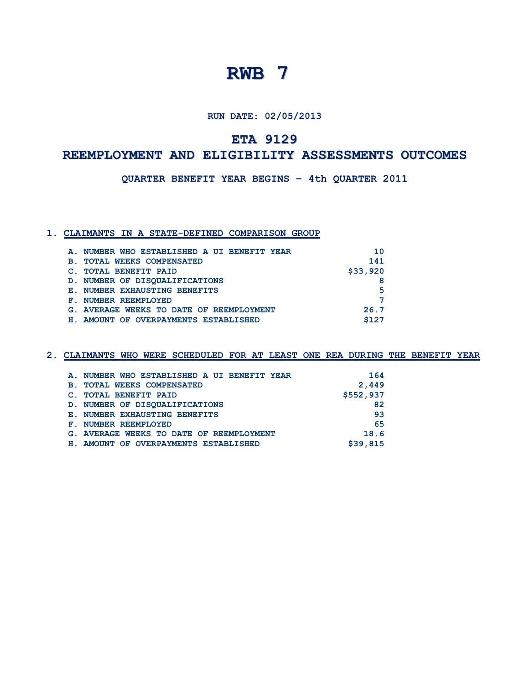**RUN DATE: 02/05/2013**

## **ETA 9129**

## **A REEMPLOYMENT AND ELIGIBILITY ASSESSMENTS OUTCOMES**

**E : QUARTER BENEFIT YEAR BEGINS – 4th QUARTER 2011**

### **1. CLAIMANTS IN A STATE-DEFINED COMPARISON GROUP**

| A. NUMBER WHO ESTABLISHED A UI BENEFIT YEAR | 10       |
|---------------------------------------------|----------|
| <b>B. TOTAL WEEKS COMPENSATED</b>           | 141      |
| C. TOTAL BENEFIT PAID                       | \$33,920 |
| D. NUMBER OF DISOUALIFICATIONS              | 8        |
| E. NUMBER EXHAUSTING BENEFITS               | 5        |
| F. NUMBER REEMPLOYED                        |          |
| G. AVERAGE WEEKS TO DATE OF REEMPLOYMENT    | 26.7     |
| H. AMOUNT OF OVERPAYMENTS ESTABLISHED       | \$127    |
|                                             |          |

| A. NUMBER WHO ESTABLISHED A UI BENEFIT YEAR      | 164       |
|--------------------------------------------------|-----------|
| <b>TOTAL WEEKS COMPENSATED</b><br>$\mathbf{B}$ . | 2,449     |
| C. TOTAL BENEFIT PAID                            | \$552,937 |
| D. NUMBER OF DISOUALIFICATIONS                   | 82        |
| E. NUMBER EXHAUSTING BENEFITS                    | 93        |
| F. NUMBER REEMPLOYED                             | 65        |
| G. AVERAGE WEEKS TO DATE OF REEMPLOYMENT         | 18.6      |
| H. AMOUNT OF OVERPAYMENTS ESTABLISHED            | \$39,815  |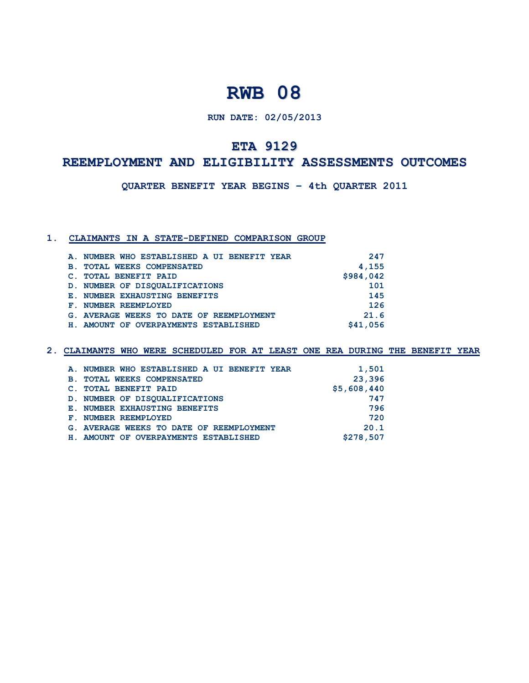### **RUN DATE: 02/05/2013**

### **ETA 9129**

## **REEMPLOYMENT AND ELIGIBILITY ASSESSMENTS OUTCOMES**

**QUARTER BENEFIT YEAR BEGINS – 4th QUARTER 2011**

#### **1. CLAIMANTS IN A STATE-DEFINED COMPARISON GROUP**

| A. NUMBER WHO ESTABLISHED A UI BENEFIT YEAR | 247       |
|---------------------------------------------|-----------|
| <b>B. TOTAL WEEKS COMPENSATED</b>           | 4,155     |
| C. TOTAL BENEFIT PAID                       | \$984,042 |
| D. NUMBER OF DISQUALIFICATIONS              | 101       |
| E. NUMBER EXHAUSTING BENEFITS               | 145       |
| F. NUMBER REEMPLOYED                        | 126       |
| G. AVERAGE WEEKS TO DATE OF REEMPLOYMENT    | 21.6      |
| H. AMOUNT OF OVERPAYMENTS ESTABLISHED       | \$41,056  |

| A. NUMBER WHO ESTABLISHED A UI BENEFIT YEAR | 1,501       |
|---------------------------------------------|-------------|
| <b>B. TOTAL WEEKS COMPENSATED</b>           | 23,396      |
| C. TOTAL BENEFIT PAID                       | \$5,608,440 |
| D. NUMBER OF DISQUALIFICATIONS              | 747         |
| E. NUMBER EXHAUSTING BENEFITS               | 796         |
| F. NUMBER REEMPLOYED                        | 720         |
| G. AVERAGE WEEKS TO DATE OF REEMPLOYMENT    | 20.1        |
| H. AMOUNT OF OVERPAYMENTS ESTABLISHED       | \$278,507   |
|                                             |             |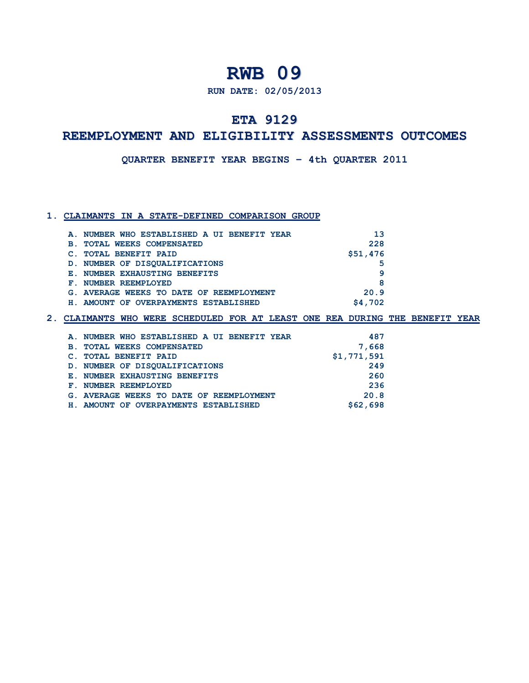**RUN DATE: 02/05/2013**

## **ETA 9129**

## **REEMPLOYMENT AND ELIGIBILITY ASSESSMENTS OUTCOMES**

**QUARTER BENEFIT YEAR BEGINS – 4th QUARTER 2011**

### **1. CLAIMANTS IN A STATE-DEFINED COMPARISON GROUP**

| A. NUMBER WHO ESTABLISHED A UI BENEFIT YEAR  | 13       |
|----------------------------------------------|----------|
| <b>TOTAL WEEKS COMPENSATED</b><br><b>B</b> . | 228      |
| <b>TOTAL BENEFIT PAID</b>                    | \$51,476 |
| D. NUMBER OF DISOUALIFICATIONS               | 5        |
| E. NUMBER EXHAUSTING BENEFITS                | q        |
| F. NUMBER REEMPLOYED                         | 8        |
| G. AVERAGE WEEKS TO DATE OF REEMPLOYMENT     | 20.9     |
| AMOUNT OF OVERPAYMENTS ESTABLISHED           | \$4,702  |

| A. NUMBER WHO ESTABLISHED A UI BENEFIT YEAR | 487         |
|---------------------------------------------|-------------|
| <b>B. TOTAL WEEKS COMPENSATED</b>           | 7,668       |
| C. TOTAL BENEFIT PAID                       | \$1,771,591 |
| D. NUMBER OF DISOUALIFICATIONS              | 249         |
| E. NUMBER EXHAUSTING BENEFITS               | 260         |
| F. NUMBER REEMPLOYED                        | 236         |
| G. AVERAGE WEEKS TO DATE OF REEMPLOYMENT    | 20.8        |
| H. AMOUNT OF OVERPAYMENTS ESTABLISHED       | \$62,698    |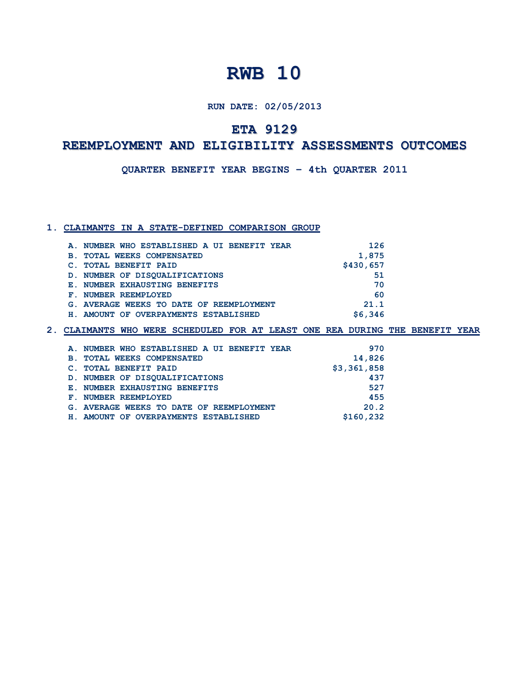#### **RUN DATE: 02/05/2013**

## **ETA 9129**

## **REEMPLOYMENT AND ELIGIBILITY ASSESSMENTS OUTCOMES**

**QUARTER BENEFIT YEAR BEGINS – 4th QUARTER 2011**

### **1. CLAIMANTS IN A STATE-DEFINED COMPARISON GROUP**

|            | A. NUMBER WHO ESTABLISHED A UI BENEFIT YEAR | 126       |
|------------|---------------------------------------------|-----------|
| <b>B</b> . | <b>TOTAL WEEKS COMPENSATED</b>              | 1,875     |
|            | <b>TOTAL BENEFIT PAID</b>                   | \$430,657 |
|            | D. NUMBER OF DISOUALIFICATIONS              | 51        |
|            | E. NUMBER EXHAUSTING BENEFITS               | 70        |
|            | F. NUMBER REEMPLOYED                        | 60        |
|            | G. AVERAGE WEEKS TO DATE OF REEMPLOYMENT    | 21.1      |
|            | H. AMOUNT OF OVERPAYMENTS ESTABLISHED       | \$6,346   |

|            | A. NUMBER WHO ESTABLISHED A UI BENEFIT YEAR | 970         |
|------------|---------------------------------------------|-------------|
| <b>B</b> . | <b>TOTAL WEEKS COMPENSATED</b>              | 14,826      |
|            | <b>TOTAL BENEFIT PAID</b>                   | \$3,361,858 |
|            | D. NUMBER OF DISOUALIFICATIONS              | 437         |
|            | E. NUMBER EXHAUSTING BENEFITS               | 527         |
|            | F. NUMBER REEMPLOYED                        | 455         |
|            | G. AVERAGE WEEKS TO DATE OF REEMPLOYMENT    | 20.2        |
|            | H. AMOUNT OF OVERPAYMENTS ESTABLISHED       | \$160,232   |
|            |                                             |             |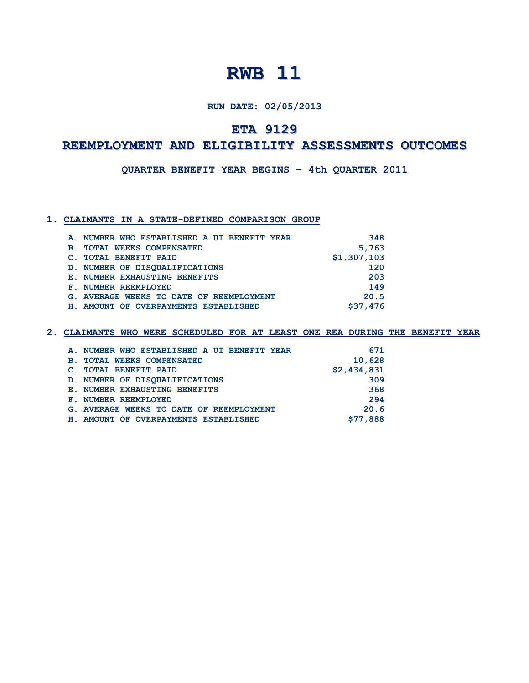**RUN DATE: 02/05/2013**

## **ETA 9129**

## **REEMPLOYMENT AND ELIGIBILITY ASSESSMENTS OUTCOMES**

**QUARTER BENEFIT YEAR BEGINS – 4th QUARTER 2011**

### **1. CLAIMANTS IN A STATE-DEFINED COMPARISON GROUP**

|                | A. NUMBER WHO ESTABLISHED A UI BENEFIT YEAR | 348         |
|----------------|---------------------------------------------|-------------|
| $\mathbf{B}$ . | <b>TOTAL WEEKS COMPENSATED</b>              | 5,763       |
|                | <b>TOTAL BENEFIT PAID</b>                   | \$1,307,103 |
|                | D. NUMBER OF DISOUALIFICATIONS              | 120         |
|                | E. NUMBER EXHAUSTING BENEFITS               | 203         |
|                | F. NUMBER REEMPLOYED                        | 149         |
|                | G. AVERAGE WEEKS TO DATE OF REEMPLOYMENT    | 20.5        |
|                | H. AMOUNT OF OVERPAYMENTS ESTABLISHED       | \$37,476    |

|            | A. NUMBER WHO ESTABLISHED A UI BENEFIT YEAR | 671         |
|------------|---------------------------------------------|-------------|
| <b>B</b> . | <b>TOTAL WEEKS COMPENSATED</b>              | 10,628      |
|            | <b>TOTAL BENEFIT PAID</b>                   | \$2,434,831 |
|            | D. NUMBER OF DISOUALIFICATIONS              | 309         |
|            | E. NUMBER EXHAUSTING BENEFITS               | 368         |
|            | F. NUMBER REEMPLOYED                        | 294         |
|            | G. AVERAGE WEEKS TO DATE OF REEMPLOYMENT    | 20.6        |
| H.,        | AMOUNT OF OVERPAYMENTS ESTABLISHED          | \$77,888    |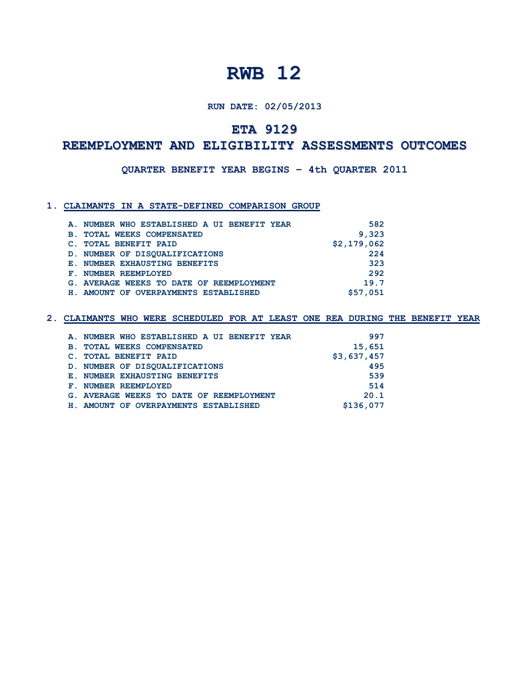#### **RUN DATE: 02/05/2013**

## **ETA 9129**

## **REEMPLOYMENT AND ELIGIBILITY ASSESSMENTS OUTCOMES**

**QUARTER BENEFIT YEAR BEGINS – 4th QUARTER 2011**

#### **1. CLAIMANTS IN A STATE-DEFINED COMPARISON GROUP**

| A. NUMBER WHO ESTABLISHED A UI BENEFIT YEAR | 582         |
|---------------------------------------------|-------------|
| <b>B. TOTAL WEEKS COMPENSATED</b>           | 9,323       |
| C. TOTAL BENEFIT PAID                       | \$2,179,062 |
| D. NUMBER OF DISOUALIFICATIONS              | 224         |
| E. NUMBER EXHAUSTING BENEFITS               | 323         |
| F. NUMBER REEMPLOYED                        | 292         |
| G. AVERAGE WEEKS TO DATE OF REEMPLOYMENT    | 19.7        |
| H. AMOUNT OF OVERPAYMENTS ESTABLISHED       | \$57,051    |

| A. NUMBER WHO ESTABLISHED A UI BENEFIT YEAR  | 997         |
|----------------------------------------------|-------------|
| <b>TOTAL WEEKS COMPENSATED</b><br><b>B</b> . | 15,651      |
| <b>TOTAL BENEFIT PAID</b>                    | \$3,637,457 |
| D. NUMBER OF DISOUALIFICATIONS               | 495         |
| E. NUMBER EXHAUSTING BENEFITS                | 539         |
| NUMBER REEMPLOYED<br>${\bf F}$ .             | 514         |
| G. AVERAGE WEEKS TO DATE OF REEMPLOYMENT     | 20.1        |
| H. AMOUNT OF OVERPAYMENTS ESTABLISHED        | \$136,077   |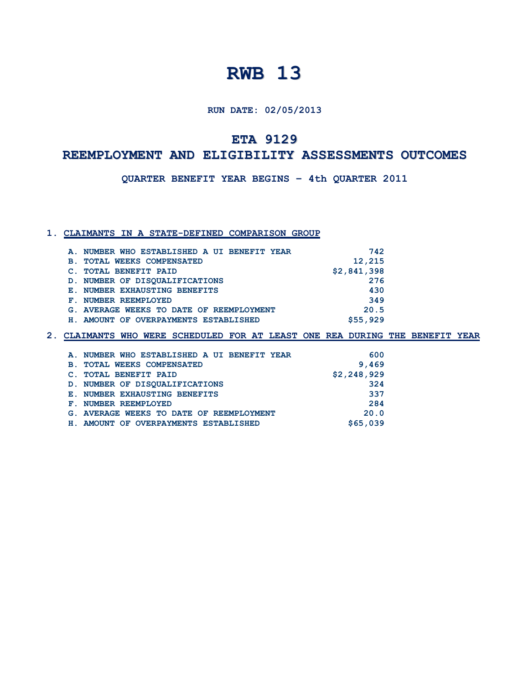**RUN DATE: 02/05/2013**

## **ETA 9129**

## **A REEMPLOYMENT AND ELIGIBILITY ASSESSMENTS OUTCOMES**

**E : QUARTER BENEFIT YEAR BEGINS – 4th QUARTER 2011**

#### **1. CLAIMANTS IN A STATE-DEFINED COMPARISON GROUP**

| A. NUMBER WHO ESTABLISHED A UI BENEFIT YEAR | 742         |
|---------------------------------------------|-------------|
| <b>B. TOTAL WEEKS COMPENSATED</b>           | 12,215      |
| C. TOTAL BENEFIT PAID                       | \$2,841,398 |
| D. NUMBER OF DISOUALIFICATIONS              | 276         |
| E. NUMBER EXHAUSTING BENEFITS               | 430         |
| F. NUMBER REEMPLOYED                        | 349         |
| G. AVERAGE WEEKS TO DATE OF REEMPLOYMENT    | 20.5        |
| H. AMOUNT OF OVERPAYMENTS ESTABLISHED       | \$55,929    |
|                                             |             |

| 600         |
|-------------|
| 9,469       |
| \$2,248,929 |
| 324         |
| 337         |
| 284         |
| 20.0        |
| \$65,039    |
|             |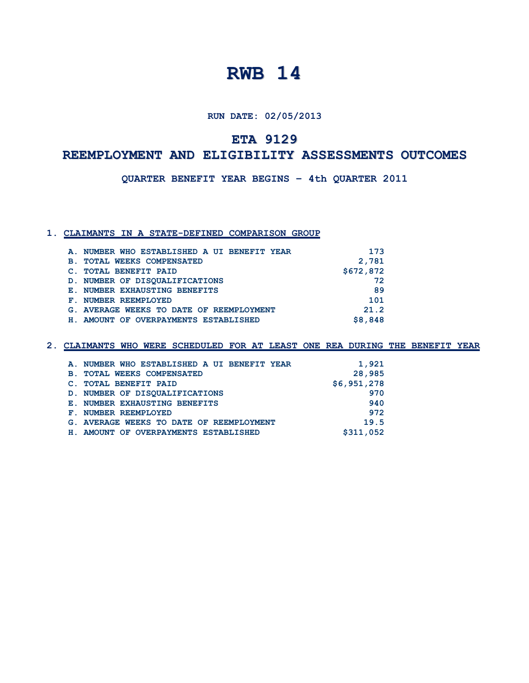**RUN DATE: 02/05/2013**

## **ETA 9129**

## **A REEMPLOYMENT AND ELIGIBILITY ASSESSMENTS OUTCOMES**

**E : QUARTER BENEFIT YEAR BEGINS – 4th QUARTER 2011**

### **1. CLAIMANTS IN A STATE-DEFINED COMPARISON GROUP**

| A. NUMBER WHO ESTABLISHED A UI BENEFIT YEAR | 173       |
|---------------------------------------------|-----------|
| <b>B. TOTAL WEEKS COMPENSATED</b>           | 2,781     |
| C. TOTAL BENEFIT PAID                       | \$672,872 |
| D. NUMBER OF DISOUALIFICATIONS              | 72        |
| E. NUMBER EXHAUSTING BENEFITS               | 89        |
| F. NUMBER REEMPLOYED                        | 101       |
| G. AVERAGE WEEKS TO DATE OF REEMPLOYMENT    | 21.2      |
| H. AMOUNT OF OVERPAYMENTS ESTABLISHED       | \$8,848   |
|                                             |           |

| A. NUMBER WHO ESTABLISHED A UI BENEFIT YEAR | 1,921       |
|---------------------------------------------|-------------|
|                                             |             |
| <b>B. TOTAL WEEKS COMPENSATED</b>           | 28,985      |
| C. TOTAL BENEFIT PAID                       | \$6,951,278 |
| D. NUMBER OF DISOUALIFICATIONS              | 970         |
| E. NUMBER EXHAUSTING BENEFITS               | 940         |
| F. NUMBER REEMPLOYED                        | 972         |
| G. AVERAGE WEEKS TO DATE OF REEMPLOYMENT    | 19.5        |
| H. AMOUNT OF OVERPAYMENTS ESTABLISHED       | \$311,052   |
|                                             |             |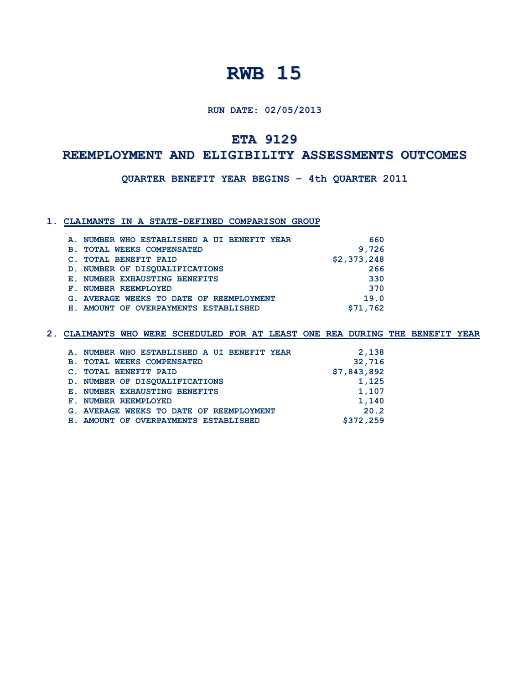**RUN DATE: 02/05/2013**

## **ETA 9129**

## **A REEMPLOYMENT AND ELIGIBILITY ASSESSMENTS OUTCOMES**

**E : QUARTER BENEFIT YEAR BEGINS – 4th QUARTER 2011**

#### **1. CLAIMANTS IN A STATE-DEFINED COMPARISON GROUP**

|                | A. NUMBER WHO ESTABLISHED A UI BENEFIT YEAR | 660         |
|----------------|---------------------------------------------|-------------|
| $\mathbf{B}$ . | <b>TOTAL WEEKS COMPENSATED</b>              | 9,726       |
|                | C. TOTAL BENEFIT PAID                       | \$2,373,248 |
|                | D. NUMBER OF DISOUALIFICATIONS              | 266         |
|                | E. NUMBER EXHAUSTING BENEFITS               | 330         |
|                | F. NUMBER REEMPLOYED                        | 370         |
|                | G. AVERAGE WEEKS TO DATE OF REEMPLOYMENT    | 19.0        |
|                | H. AMOUNT OF OVERPAYMENTS ESTABLISHED       | \$71,762    |
|                |                                             |             |

| 2,138       |
|-------------|
| 32,716      |
| \$7,843,892 |
| 1,125       |
| 1,107       |
| 1,140       |
| 20.2        |
| \$372,259   |
|             |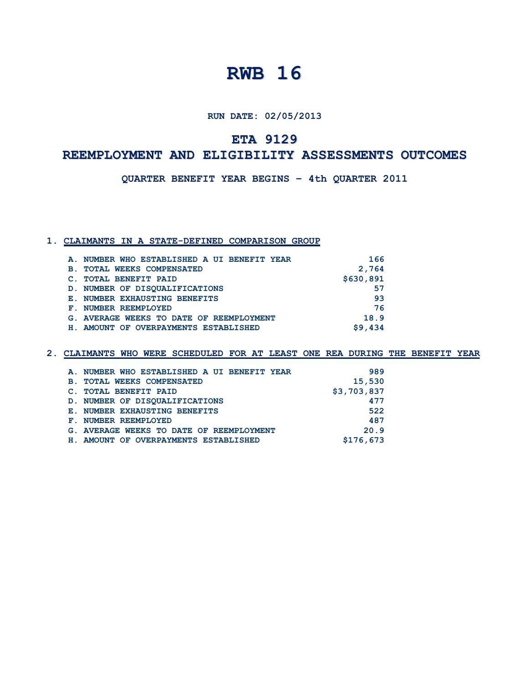**RUN DATE: 02/05/2013**

## **ETA 9129**

## **A REEMPLOYMENT AND ELIGIBILITY ASSESSMENTS OUTCOMES**

**E : QUARTER BENEFIT YEAR BEGINS – 4th QUARTER 2011**

#### **1. CLAIMANTS IN A STATE-DEFINED COMPARISON GROUP**

|                | A. NUMBER WHO ESTABLISHED A UI BENEFIT YEAR | 166       |
|----------------|---------------------------------------------|-----------|
| $\mathbf{B}$ . | <b>TOTAL WEEKS COMPENSATED</b>              | 2,764     |
|                | <b>TOTAL BENEFIT PAID</b>                   | \$630,891 |
|                | D. NUMBER OF DISOUALIFICATIONS              | 57        |
|                | E. NUMBER EXHAUSTING BENEFITS               | 93        |
|                | F. NUMBER REEMPLOYED                        | 76        |
|                | G. AVERAGE WEEKS TO DATE OF REEMPLOYMENT    | 18.9      |
|                | H. AMOUNT OF OVERPAYMENTS ESTABLISHED       | \$9.434   |

|            | A. NUMBER WHO ESTABLISHED A UI BENEFIT YEAR | 989         |
|------------|---------------------------------------------|-------------|
| <b>B</b> . | <b>TOTAL WEEKS COMPENSATED</b>              | 15,530      |
|            | C. TOTAL BENEFIT PAID                       | \$3,703,837 |
|            | D. NUMBER OF DISOUALIFICATIONS              | 477         |
|            | E. NUMBER EXHAUSTING BENEFITS               | 522         |
|            | F. NUMBER REEMPLOYED                        | 487         |
|            | G. AVERAGE WEEKS TO DATE OF REEMPLOYMENT    | 20.9        |
|            | H. AMOUNT OF OVERPAYMENTS ESTABLISHED       | \$176,673   |
|            |                                             |             |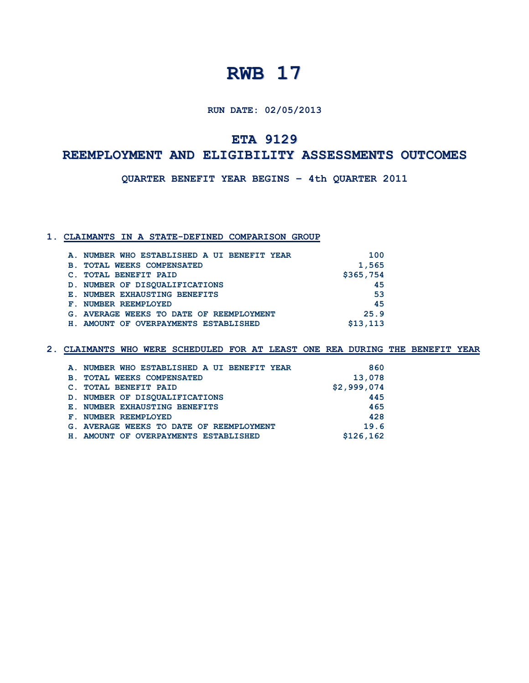**RUN DATE: 02/05/2013**

**ETA 9129**

## **A REEMPLOYMENT AND ELIGIBILITY ASSESSMENTS OUTCOMES**

**E : QUARTER BENEFIT YEAR BEGINS – 4th QUARTER 2011**

### **1. CLAIMANTS IN A STATE-DEFINED COMPARISON GROUP**

|                | A. NUMBER WHO ESTABLISHED A UI BENEFIT YEAR | 100       |
|----------------|---------------------------------------------|-----------|
| $\mathbf{B}$ . | <b>TOTAL WEEKS COMPENSATED</b>              | 1,565     |
|                | C. TOTAL BENEFIT PAID                       | \$365,754 |
|                | D. NUMBER OF DISOUALIFICATIONS              | 45        |
|                | E. NUMBER EXHAUSTING BENEFITS               | 53        |
|                | F. NUMBER REEMPLOYED                        | 45        |
|                | G. AVERAGE WEEKS TO DATE OF REEMPLOYMENT    | 25.9      |
|                | H. AMOUNT OF OVERPAYMENTS ESTABLISHED       | \$13,113  |
|                |                                             |           |

| A. NUMBER WHO ESTABLISHED A UI BENEFIT YEAR | 860         |
|---------------------------------------------|-------------|
| <b>B. TOTAL WEEKS COMPENSATED</b>           | 13,078      |
| C. TOTAL BENEFIT PAID                       | \$2,999,074 |
| D. NUMBER OF DISOUALIFICATIONS              | 445         |
| E. NUMBER EXHAUSTING BENEFITS               | 465         |
| F. NUMBER REEMPLOYED                        | 428         |
| G. AVERAGE WEEKS TO DATE OF REEMPLOYMENT    | 19.6        |
| H. AMOUNT OF OVERPAYMENTS ESTABLISHED       | \$126,162   |
|                                             |             |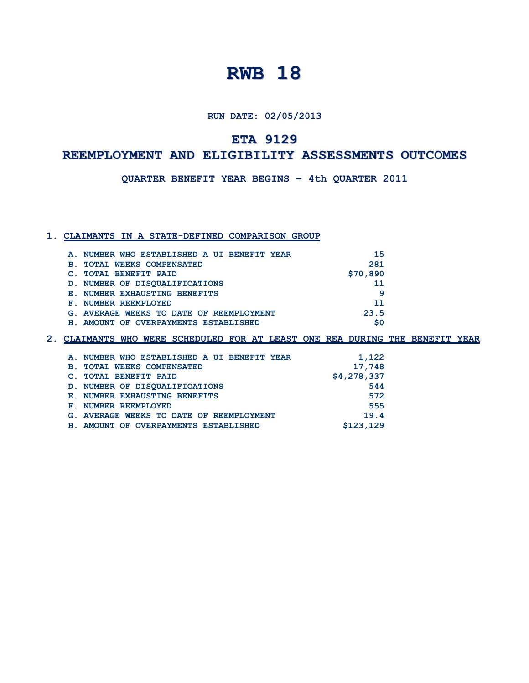**RUN DATE: 02/05/2013**

## **ETA 9129**

## **A REEMPLOYMENT AND ELIGIBILITY ASSESSMENTS OUTCOMES**

**E : QUARTER BENEFIT YEAR BEGINS – 4th QUARTER 2011**

#### **1. CLAIMANTS IN A STATE-DEFINED COMPARISON GROUP**

| 15<br>A. NUMBER WHO ESTABLISHED A UI BENEFIT YEAR |
|---------------------------------------------------|
| 281                                               |
| \$70,890                                          |
| 11                                                |
| 9                                                 |
| 11                                                |
| 23.5<br>G. AVERAGE WEEKS TO DATE OF REEMPLOYMENT  |
| \$0<br>H. AMOUNT OF OVERPAYMENTS ESTABLISHED      |
|                                                   |

| A. NUMBER WHO ESTABLISHED A UI BENEFIT YEAR | 1,122       |
|---------------------------------------------|-------------|
| <b>B. TOTAL WEEKS COMPENSATED</b>           | 17,748      |
| C. TOTAL BENEFIT PAID                       | \$4,278,337 |
| D. NUMBER OF DISOUALIFICATIONS              | 544         |
| E. NUMBER EXHAUSTING BENEFITS               | 572         |
| F. NUMBER REEMPLOYED                        | 555         |
| G. AVERAGE WEEKS TO DATE OF REEMPLOYMENT    | 19.4        |
| H. AMOUNT OF OVERPAYMENTS ESTABLISHED       | \$123,129   |
|                                             |             |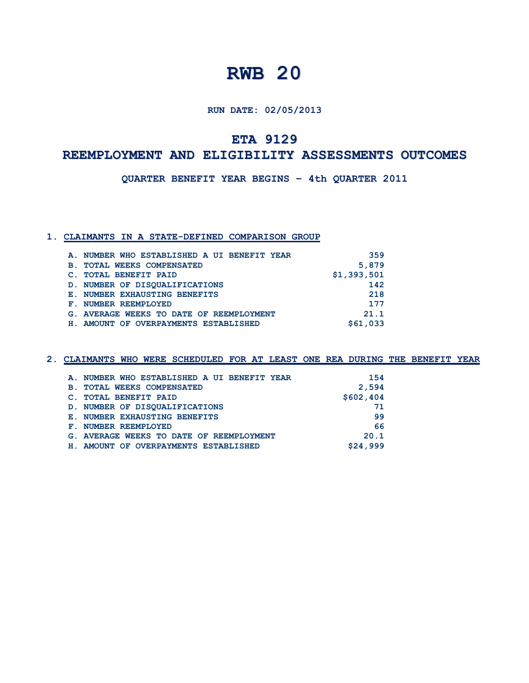**RUN DATE: 02/05/2013**

## **ETA 9129**

## **REEMPLOYMENT AND ELIGIBILITY ASSESSMENTS OUTCOMES**

**QUARTER BENEFIT YEAR BEGINS – 4th QUARTER 2011**

### **1. CLAIMANTS IN A STATE-DEFINED COMPARISON GROUP**

|            | A. NUMBER WHO ESTABLISHED A UI BENEFIT YEAR | 359         |
|------------|---------------------------------------------|-------------|
| <b>B</b> . | <b>TOTAL WEEKS COMPENSATED</b>              | 5,879       |
|            | C. TOTAL BENEFIT PAID                       | \$1,393,501 |
|            | D. NUMBER OF DISOUALIFICATIONS              | 142         |
|            | E. NUMBER EXHAUSTING BENEFITS               | 218         |
|            | F. NUMBER REEMPLOYED                        | 177         |
|            | G. AVERAGE WEEKS TO DATE OF REEMPLOYMENT    | 21.1        |
|            | H. AMOUNT OF OVERPAYMENTS ESTABLISHED       | \$61,033    |
|            |                                             |             |

|            | A. NUMBER WHO ESTABLISHED A UI BENEFIT YEAR | 154       |
|------------|---------------------------------------------|-----------|
| <b>B</b> . | <b>TOTAL WEEKS COMPENSATED</b>              | 2,594     |
|            | C. TOTAL BENEFIT PAID                       | \$602,404 |
|            | D. NUMBER OF DISOUALIFICATIONS              | 71        |
|            | E. NUMBER EXHAUSTING BENEFITS               | 99        |
|            | <b>F. NUMBER REEMPLOYED</b>                 | 66        |
|            | G. AVERAGE WEEKS TO DATE OF REEMPLOYMENT    | 20.1      |
| Н.         | AMOUNT OF OVERPAYMENTS ESTABLISHED          | \$24,999  |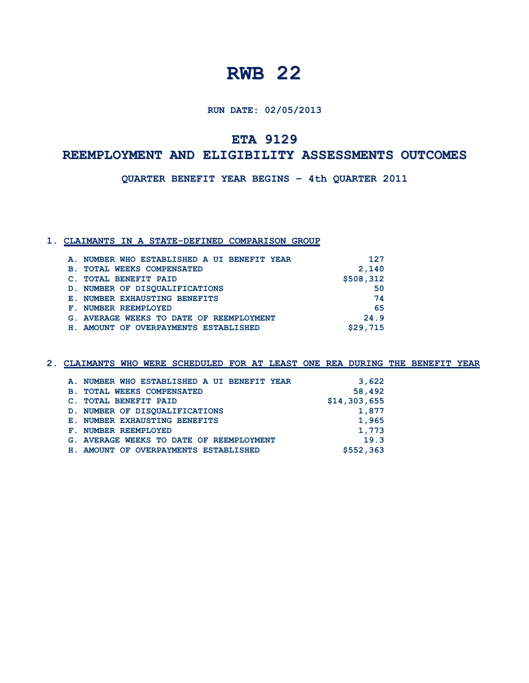**RUN DATE: 02/05/2013**

**ETA 9129**

## **REEMPLOYMENT AND ELIGIBILITY ASSESSMENTS OUTCOMES**

**QUARTER BENEFIT YEAR BEGINS – 4th QUARTER 2011**

### **1. CLAIMANTS IN A STATE-DEFINED COMPARISON GROUP**

|                | A. NUMBER WHO ESTABLISHED A UI BENEFIT YEAR | 127       |
|----------------|---------------------------------------------|-----------|
| $\mathbf{B}$ . | <b>TOTAL WEEKS COMPENSATED</b>              | 2,140     |
|                | <b>TOTAL BENEFIT PAID</b>                   | \$508,312 |
|                | D. NUMBER OF DISOUALIFICATIONS              | 50        |
|                | E. NUMBER EXHAUSTING BENEFITS               | 74        |
|                | F. NUMBER REEMPLOYED                        | 65        |
|                | G. AVERAGE WEEKS TO DATE OF REEMPLOYMENT    | 24.9      |
|                | H. AMOUNT OF OVERPAYMENTS ESTABLISHED       | \$29,715  |

| A. NUMBER WHO ESTABLISHED A UI BENEFIT YEAR | 3,622        |
|---------------------------------------------|--------------|
| <b>B. TOTAL WEEKS COMPENSATED</b>           | 58,492       |
| C. TOTAL BENEFIT PAID                       | \$14,303,655 |
| D. NUMBER OF DISOUALIFICATIONS              | 1,877        |
| E. NUMBER EXHAUSTING BENEFITS               | 1,965        |
| F. NUMBER REEMPLOYED                        | 1,773        |
| G. AVERAGE WEEKS TO DATE OF REEMPLOYMENT    | 19.3         |
| H. AMOUNT OF OVERPAYMENTS ESTABLISHED       | \$552,363    |